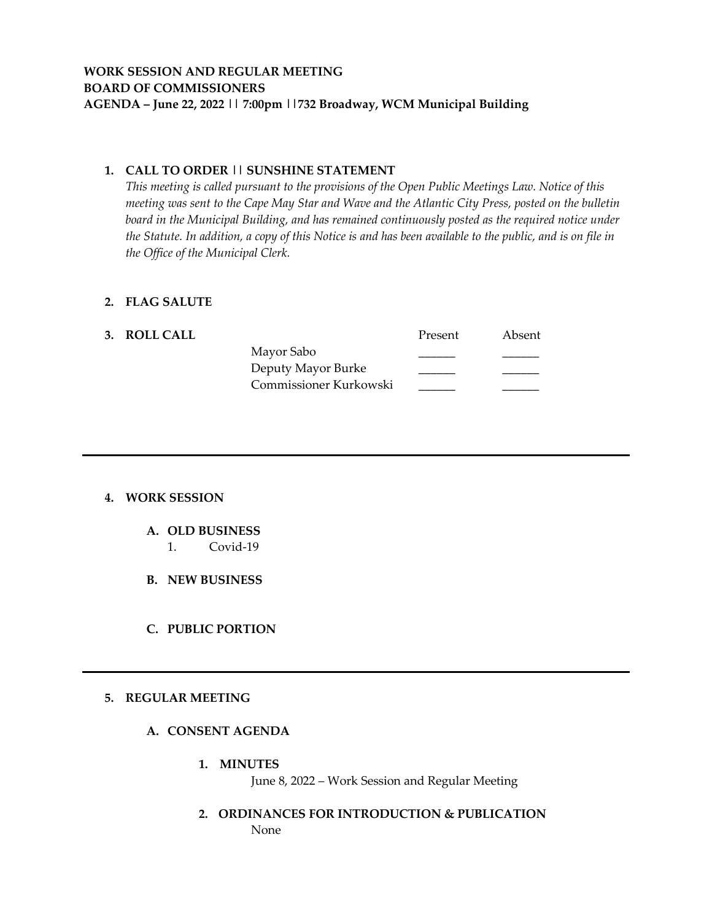### **1. CALL TO ORDER || SUNSHINE STATEMENT**

*This meeting is called pursuant to the provisions of the Open Public Meetings Law. Notice of this meeting was sent to the Cape May Star and Wave and the Atlantic City Press, posted on the bulletin board in the Municipal Building, and has remained continuously posted as the required notice under the Statute. In addition, a copy of this Notice is and has been available to the public, and is on file in the Office of the Municipal Clerk.*

#### **2. FLAG SALUTE**

| 3. ROLL CALL |                        | Present | Absent |
|--------------|------------------------|---------|--------|
|              | Mayor Sabo             |         |        |
|              | Deputy Mayor Burke     |         |        |
|              | Commissioner Kurkowski |         |        |
|              |                        |         |        |

## **4. WORK SESSION**

- **A. OLD BUSINESS**
	- 1. Covid-19
- **B. NEW BUSINESS**
- **C. PUBLIC PORTION**

#### **5. REGULAR MEETING**

- **A. CONSENT AGENDA**
	- **1. MINUTES**

June 8, 2022 – Work Session and Regular Meeting

**2. ORDINANCES FOR INTRODUCTION & PUBLICATION** None